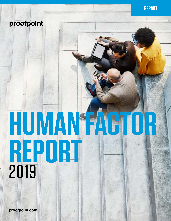# proofpoint.

# **HUMAN FACTOR REPORT** 2019

**[proofpoint.com](https://www.proofpoint.com/us)**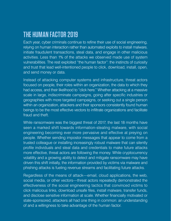# **THE HUMAN FACTOR 2019**

Each year, cyber criminals continue to refine their use of social engineering, relying on human interaction rather than automated exploits to install malware, initiate fraudulent transactions, steal data, and engage in other malicious activities. Less than 1% of the attacks we observed made use of system vulnerabilities. The rest exploited "the human factor": the instincts of curiosity and trust that lead well-intentioned people to click, download, install, open, and send money or data.

Instead of attacking computer systems and infrastructure, threat actors focused on people, their roles within an organization, the data to which they had access, and their likelihood to "click here." Whether attacking at a massive scale in large, indiscriminate campaigns, going after specific industries or geographies with more targeted campaigns, or seeking out a single person within an organization, attackers and their sponsors consistently found human beings to be the most effective vectors to infiltrate organizations and facilitate fraud and theft.

While ransomware was the biggest threat of 2017, the last 18 months have seen a marked shift towards information-stealing malware, with social engineering becoming ever more pervasive and effective at preying on people. Whether sending impostor messages that appear to come from a trusted colleague or installing increasingly robust malware that can silently profile individuals and steal data and credentials to make future attacks more effective, threat actors are following the money. While cryptocurrency volatility and a growing ability to detect and mitigate ransomware may have driven this shift initially, the information provided by victims via malware and phishing attacks is fueling revenue streams and facilitating future attacks.

Regardless of the means of attack—email, cloud applications, the web, social media, or other vectors—threat actors repeatedly demonstrated the effectiveness of the social engineering tactics that convinced victims to click malicious links, download unsafe files, install malware, transfer funds, and disclose sensitive information at scale. Whether financially motivated or state-sponsored, attackers all had one thing in common: an understanding of and a willingness to take advantage of the human factor.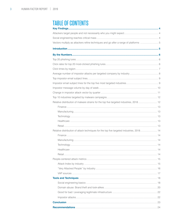# **TABLE OF CONTENTS**

| Relative distribution of malware strains for the top five targeted industries, 2018  12  |  |
|------------------------------------------------------------------------------------------|--|
|                                                                                          |  |
|                                                                                          |  |
|                                                                                          |  |
|                                                                                          |  |
|                                                                                          |  |
| Relative distribution of attack techniques for the top five targeted industries, 2018 14 |  |
|                                                                                          |  |
|                                                                                          |  |
|                                                                                          |  |
|                                                                                          |  |
|                                                                                          |  |
|                                                                                          |  |
|                                                                                          |  |
|                                                                                          |  |
|                                                                                          |  |
|                                                                                          |  |
|                                                                                          |  |
|                                                                                          |  |
|                                                                                          |  |
|                                                                                          |  |
|                                                                                          |  |
|                                                                                          |  |
|                                                                                          |  |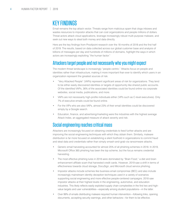# <span id="page-3-0"></span>KEY FINDINGS

Email remains the top attack vector. Threats range from malicious spam that clogs inboxes and wastes resources to impostor attacks that can cost organizations and people millions of dollars. Threat actors attack cloud applications, leverage increasingly robust multi-purpose malware, and seek out new ways to steal both money and data directly.

Here are the key findings from Proofpoint research over the 18 months of 2018 and the first half of 2019. The results, based on data collected across our global customer base and analysis of billions of messages per day and hundreds of millions of domains, highlight the ways in which actors are increasingly exploiting "the human factor."

# Attackers target people and not necessarily who you might expect

The modern threat landscape is increasingly "people-centric." Attacks focus on people and identities rather than infrastructure, making it more important than ever to identify which users in an organization represent the greatest sources of risk.

- "Very Attacked People" (VAPs) represent significant areas of risk for organizations. They tend to be either easily discovered identities or targets of opportunity like shared public accounts. Of the identified VAPs, 36% of the associated identities could be found online via corporate websites, social media, publications, and more.
- VAPs are not necessarily high-profile individuals either (VIPs such as C-level executives). Only 7% of executive emails could be found online.
- For the VIPs who are also VAPs, almost 23% of their email identities could be discovered simply by a Google search.
- Education, finance, and advertising/marketing were the industries with the highest average Attack Index, an aggregated measure of attack severity and risk.

# Social engineering reaches critical mass

Attackers are increasingly focused on obtaining credentials to feed further attacks and are improving the social engineering techniques with which they obtain them. Similarly, malware distribution is far more focused on establishing a silent foothold in organizations to commit fraud and steal data and credentials rather than simply smash-and-grab via ransomware attacks.

- Generic email harvesting accounted for almost 25% of all phishing schemes in 2018. In 2019, Microsoft Office 365 phishing has been the top scheme, but the focus remains credential harvesting.
- The most effective phishing lures in 2018 were dominated by "Brain Food," a diet and brain enhancement affiliate scam that harvested credit cards. However, 2019 saw a shift in terms of effectiveness towards cloud storage, DocuSign, and Microsoft cloud service phishing.
- Impostor attacks include schemes like business email compromise (BEC) and also include increasingly mainstream identity deception techniques used in a variety of scenarios supporting social engineering and more effective people-centered campaigns. 2018 saw impostor attacks at their highest levels in the engineering, automotive, and education industries. This likely reflects easily exploited supply chain complexities in the first two and highvalue targets and user vulnerabilities—especially among student populations—in the latter.
- Over 99% of emails distributing malware required human intervention—following links, opening documents, accepting security warnings, and other behaviors—for them to be effective.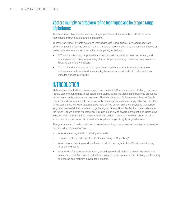# <span id="page-4-0"></span>Vectors multiply as attackers refine techniques and leverage a range of platforms

The ways in which attackers select and target potential victims multiply as attackers refine techniques and leverage a range of platforms:

Themes vary widely by both actor and intended target. Food, shelter, love, and money are perennial favorites, feeding everything from threats of lawsuits over food poisoning in attacks on restaurants to rampant sextortion schemes targeting individuals.

- BEC tactics—building rapport with attacked individuals, multiple points of contact, and creating a sense of urgency, among others—began appearing more frequently in attacks involving commodity malware.
- Domain fraud and abuse ramped up even more, with attackers leveraging a range of techniques from look-alike domains to legitimate secure certificates to make malicious websites appear trustworthy.

# INTRODUCTION

Malware-free attacks like business email compromise (BEC) and credential phishing continue to rapidly gain momentum as threat actors consistently attack individuals and business processes rather than specific systems and software. Similarly, attacks on Software-as-a-Service (SaaS) accounts and platforms create new risks for businesses that are increasingly reliant on the cloud. At the same time, malware-based attacks have shifted almost entirely to payloads that support long-term credential theft, information gathering, and the ability to flexibly load new malware in the future—all while evading detection. This pendulum swing toward persistent, non-destructive infection and information theft allows attackers to collect more and more data about us, all of which can be turned around in a feedback loop for a range of highly targeted attacks.

This year, we are uniquely positioned to examine four key components of the attacks businesses and individuals face every day:

- Who within an organization is being attacked?
- How are phishing and impostor attacks (including BEC) evolving?
- What malware is being used to attack individuals and organizations? And how is it being targeted and used?
- What kinds of attacks are increasingly targeting the SaaS platforms on which people and businesses rely? And how does the trend towards pervasive credential phishing (both socially engineered and malware-driven) feed into this?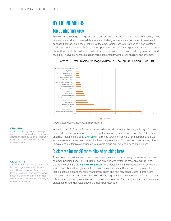# **BY THE NUMBERS** Top 20 phishing lures

Phishing lures leverage a range of brands and are set to resemble login portals from banks, online retailers, webmail, and more. While some are phishing for credentials from specific services, it appears that many are simply looking for the email logins used with various services to inform credential-stuffing attacks. By far, the most prevalent phishing campaigns in 2018 sought a variety of email login credentials, often offering to allow users to log in to fake services with any number of email accounts. This type of generic email harvesting accounted for almost 25% of all phishing schemes.





**CHALBHAI** 

Chalbhai phishing refers to a range of campaigns associated with templates created and sold by a group collectively referred to as Chalbhai based on artifacts in the templates.

#### **CLICK RATE**

The number of times a single message in a campaign entices a recipient to click a link. Click rates greater than 1 suggest that a message may have been forwarded frequently or the URL in the message was revisited multiple times on average across the campaign.

In the first half of 2019, the focus has remained on email credential phishing, although Microsoft Office 365 account phishing took the top spot from more generic efforts. So-called "Chalbhai phishing" took the third spot. **CHALBHAI** phishing targets credentials for a number of top U.S. and international banks, telecommunications companies, and Microsoft services (among others), using a range of templates attributed to a single group but leveraged by multiple actors.

# Click rates for top 20 most-clicked phishing lures

As we noted in previous years, the most-clicked lures are not necessarily the same as the most common phishing lures. In 2018, Brain Food phishing was by far the most clicked lure, with click rates over 1.6 **CLICKS PER MESSAGE**. This indicates that the messages themselves are shared and clicked through multiple times on many occasions. Brain Food refers to a botnet that distributes diet and mental enhancement spam and routinely sends users to credit card harvesting pages among others. Blackboard phishing, which collects credentials for the popular school management system, WeTransfer (a file-sharing service), and Zoominfo (a business contact database) all had click rates above 0.6 clicks per message.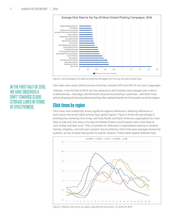<span id="page-6-0"></span>

*Figure 2: 2018 average click rates for phishing messages from the top 20 most-clicked lures*

#### Click rates were nearly identical across industries, between 20% and 22% for all lures in aggregate.

However, in the first half of 2019, we have observed a shift towards cloud storage lures in terms of effectiveness—DocuSign, and Microsoft cloud service phishing in particular—with Brain Food activity dropping off and educational phishing often loaded towards the third quarter as school begins.

### **Click times by region**

Click times have traditionally shown significant regional differences, reflecting differences in work culture and email habits among major global regions. Figure 3 shows the percentage of phishing links clicked by time of day, with Asia-Pacific and North American organizations far more likely to read and click early in the day and Middle Eastern and European users more likely to click midday and after lunch. This is important for defenders in organizations looking to enhance training, mitigation, and end-user outreach around phishing. Click times were averaged across five quarters, as they showed little quarter-to-quarter variation. These habits appear relatively fixed.



*Figure 3: Relative click times by region, adjusted for local times, Q1 2018-Q1 2019*

## IN THE FIRST HALF OF 2019, WE HAVE OBSERVED A SHIFT TOWARDS CLOUD STORAGE LURES IN TERMS OF EFFECTIVENESS.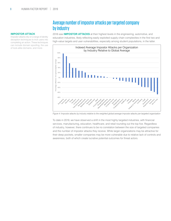#### **IMPOSTOR ATTACK**

Impostor attacks rely on a range of identity deception techniques to trick users into completing an action. These techniques can include domain spoofing, the use of look-alike domains, and more.

# Average number of impostor attacks per targeted company by industry

2018 saw **IMPOSTOR ATTACKS** at their highest levels in the engineering, automotive, and education industries, likely reflecting easily exploited supply chain complexities in the first two and high-value targets and user vulnerabilities, especially among student populations, in the latter.



*Figure 4: Impostor attacks by industry relative to the weighted global average impostor attacks per targeted organization*

To date in 2019, we have observed a shift in the most highly targeted industries, with financial services, manufacturing, education, healthcare, and retail rounding out the top five. Regardless of industry, however, there continues to be no correlation between the size of targeted companies and the number of impostor attacks they receive. While larger organizations may be attractive for their deep pockets, smaller companies may be more vulnerable due to relative lack of controls and awareness, both of which create lucrative potential outcomes for threat actors.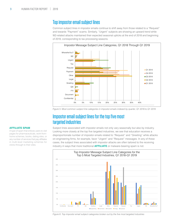## <span id="page-8-0"></span>Top impostor email subject lines

Common subject lines in impostor emails continue to shift away from those related to a "Request" and towards "Payment" scams. Similarly, "Urgent" subjects are showing an upward trend while W2-related attacks maintained their expected seasonal upticks at the end of 2018 and beginning of 2019, corresponding to tax processing seasons.



*Figure 5: Most common subject line categories in impostor emails indexed by quarter, Q1 2018 to Q1 2019*

# Impostor email subject lines for the top five most targeted industries

Subject lines associated with impostor emails not only vary seasonally but also by industry. Looking more closely at the top five targeted industries, we see that education receives a disproportionate number of impostor emails related to "Request" and "Greeting" while attacks on engineering firms, for example, favor "Urgent" and "Request" messages. In any of these cases, the subject lines associated with impostor attacks are often tailored to the receiving industry in ways that more traditional **AFFILIATE** or malware-bearing spam is not.



#### **AFFILIATE SPAM**

A type of spam that entices users to visit pages for pharmaceuticals, work-fromhome schemes, books, dating sites, or any number of services that pay affiliates in multi-level marketing schemes for clicks through to their sites.

*Figure 6: Top impostor email subject categories broken out by the five most targeted industries*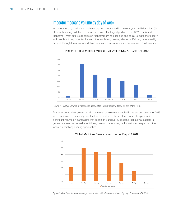# <span id="page-9-0"></span>Impostor message volume by day of week

Impostor message delivery closely mirrors trends observed in previous years, with less than 5% of overall messages delivered on weekends and the largest portion—over 30%—delivered on Mondays. Threat actors capitalize on Monday morning backlogs and social jetlag to more easily fool people with impostor tactics and other social engineering elements. Delivery rates steadily drop off through the week, and delivery rates are nominal when few employees are in the office.



F*igure 7: Relative volume of messages associated with impostor attacks by day of the week*

By way of comparison, overall malicious message volumes sampled in the second quarter of 2019 were distributed more evenly over the first three days of the week and were also present in significant volumes in campaigns that began on Sundays, suggesting that malware actors in general are less concerned about timing than actors focusing on impostor techniques and the inherent social engineering approaches.



*Figure 8: Relative volume of messages associated with all malware attacks by day of the week, Q2 2019*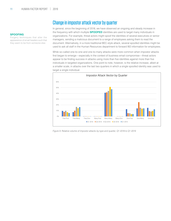#### **SPOOFING**

Forgery techniques that alter the appearance of email headers such that they seem to be from someone else.

## Change in impostor attack vector by quarter

In general, since the beginning of 2018, we have observed an ongoing and steady increase in the frequency with which multiple **SPOOFED** identities are used to target many individuals in organizations. For example, threat actors might spoof the identities of several executives or senior managers, sending a malicious document to a range of employees asking them to read the document. Alternatively, in a more traditional BEC-style attack, several spoofed identities might be used to ask all staff in the Human Resources department to forward W2 information for employees.

While so-called one-to-one and one-to-many attacks were more common when impostor attacks first began to emerge—especially in the context of business email compromise—threat actors appear to be finding success in attacks using more than five identities against more than five individuals in targeted organizations. One point to note, however, is the relative increase, albeit at a smaller scale, in attacks over the last two quarters in which a single spoofed identity was used to target a single individual.



*Figure 9: Relative volume of impostor attacks by type and quarter, Q1 2018 to Q1 2019*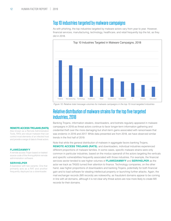## Top 10 industries targeted by malware campaigns

As with phishing, the top industries targeted by malware actors vary from year to year. However, financial services, manufacturing, technology, healthcare, and retail frequently top the list, as they did in 2018.



*Figure 10: Relative total message volumes for malware campaigns in the top 10 most-targeted industries* 

## Relative distribution of malware strains for the top five targeted industries, 2018

Banking Trojans, information stealers, downloaders, and botnets regularly appeared in malware campaigns in 2018 as threat actors continue to favor longer-term information gathering and credential theft over the more damaging but short-term gains associated with ransomware that was endemic in 2016 and 2017. While data presented are from 2018, we have observed similar trends in the first half of 2019.

Note that while the general distribution of malware in aggregate favors banking Trojans, **REMOTE ACCESS TROJANS (RATS)**, and downloaders, individual industries experienced different proportions of malware families. In some cases, specific malware strains were only common in particular industries, based on the modus operandi of the actors targeting the verticals and specific vulnerabilities frequently associated with those industries. For example, the financial services sector tended to see higher volumes of **FLAWEDAMMYY** and **SERVHELPER** as the actor we track as TA505 turned their attention to finance. Technology companies, on the other hand, saw higher proportions of downloaders and banking Trojans, potentially for both financial gain and to load software for stealing intellectual property or launching further attacks. Again, the mail exchanger records (MX records) are noteworthy, as fraudulent domains appear to be coming in line with all domains, although it is not clear why threat actors are now more likely to create MX records for their domains.

#### **REMOTE ACCESS TROJANS (RATS)**

Also known as a Remote Administration Tools, RATs are robust malware that can control most elements of an infected host and provide a range of data to threat actors.

#### **FLAWEDAMMYY**

A remote access Trojan based on leaked source code of the AmmyyAdmin remote administration software.

#### **SERVHELPER**

A backdoor with two variants: One that primarily acts as a RAT and another frequently deployed as a downloader.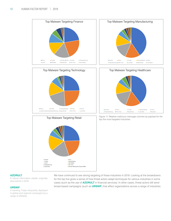



#### **AZORULT**

A robust information stealer originally discovered in 2016.

#### **URSNIF**

A banking Trojan frequently deployed in global and regional campaigns by a range of affiliates.

We have continued to see strong targeting of these industries in 2019. Looking at the breakdowns for the top five gives a sense of how threat actors adapt techniques for various industries in some cases (such as the use of **AZORULT** in financial services). In other cases, threat actors still send broad-based campaigns (such as **URSNIF**) that affect organizations across a range of industries.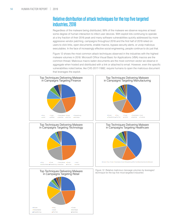# Relative distribution of attack techniques for the top five targeted industries, 2018

Regardless of the malware being distributed, 99% of the malware we observe requires at least some degree of human interaction to infect user devices. With exploit kits continuing to operate at a tiny fraction of their 2016 peak and many software vulnerabilities quickly addressed by more aggressive vendor patching, campaigns throughout 2018 and the first half of 2019 relied on users to click links, open documents, enable macros, bypass security alerts, or unzip malicious executables. In the face of increasingly effective social engineering, people continue to do just that.

Figure 12 shows the most common attack techniques observed in the industries with the highest malware volumes in 2018. Microsoft Office Visual Basic for Applications (VBA) macros are the common thread. Malicious macro-laden documents are the most common vector we observe in aggregate when hosted and distributed with a link or attached to email. However, even the specific vulnerabilities noted below, like CVE-2017-11882, require humans to open the malicious document that leverages the exploit.



Emotet **Contract Convention Convention Convention Convention Convention Convention Convention Convention Convention Convention Convention Convention Convention Convention Convention Convention Convention Convention Convent Panda Banker Communist Service Communist Service Communist Service Communist Service Communist Service Communist Service Communist Service Communist Service Communist Service Communist Service Communist Service Communist FlawedAmmyy** The Trick **CandCrabbe GandCrabbe CandCrabbe CandCrabbe CandCrabbe CandCrabbe CandCrabbe CandCrabbe CandCrabbe CandCrabbe CandCrabbe CandCrabbe CandCrabbe CandCrabbe CandCrabbe CandCrabbe CandCrabbe CandCrabbe** 

Remote Manipulator System/RMS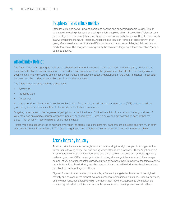## People-centered attack metrics

Attacker strategies go well beyond social engineering and convincing people to click. Threat actors are increasingly focused on getting the right people to click—those with sufficient access and privileges to best establish a beachhead on a network or with those most likely to move funds in a wire transfer scheme, for instance. Attackers also focus on "targets of opportunity," often going after shared accounts that are difficult to secure or accounts with large public and social media footprints. The analyses below quantify the scale and targeting of these so-called "peoplecentered attacks."

# Attack Index Defined

The Attack Index is an aggregate measure of cybersecurity risk for individuals in an organization. Measuring it by person allows businesses to allocate security resources to individuals and departments with the greatest risk of an effective or damaging attack. Looking at summary measures of the index across industries provides a better understanding of the threat landscape, threat actor behavior, and the challenges faced by specific industries over time.

The Attack Index is based on three components:

- Actor type
- Targeting type
- Threat type

Actor type considers the attacker's level of sophistication. For example, an advanced persistent threat (APT) state actor will be given a higher score than a small-scale, financially motivated crimeware actor.

Targeting type speaks to the degree of targeting involved with the threat. Did the threat hit only a small number of global users? Was it focused on a particular user, company, industry, or geography? Or was it a spray-and-pray campaign seen by half the globe? The former will receive a higher score than the latter.

Threat type addresses the type of malware involved in the attack. This considers how dangerous the threat is and how much effort went into the threat. In this case, a RAT or stealer is going to have a higher score than a generic consumer credential phish.

# Attack Index by industry

As noted, attackers are increasingly focused on attacking the "right people" in an organization rather than attacking every user and seeing which attacks are successful. These "right people," whether targets of opportunity or identified users with sufficient access and privilege, generally make up groups of VAPs in an organization. Looking at average Attack Index and the average number of VAPs across industries provides a view of both the overall severity of the threats against organizations in a given industry and the number of accounts within industries that threat actors are able to identify for targeted attacks.

Figure 13 shows that education, for example, is frequently targeted with attacks of the highest severity and has one of the highest average number of VAPs across industries. Financial services, on the other hand, has a relatively high average Attack Index, but appears to do a better job concealing individual identities and accounts from attackers, creating fewer VAPs to attack.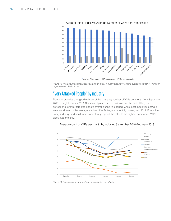

*Figure 13: Average Attack Index associated with major industry groups versus the average number of VAPs per organization in the industry*

# "Very Attacked People" by industry

Figure 14 provides a longitudinal view of the changing number of VAPs per month from September 2018 through February 2019. Seasonal dips around the holidays and the end of the year correspond to fewer targeted attacks overall during this period, while most industries showed an upward trend in the average number of VAPs targeted monthly coming into 2019. Education, heavy industry, and healthcare consistently topped the list with the highest numbers of VAPs calculated monthly.



*Figure 14: Average number of VAPs per organization by industry*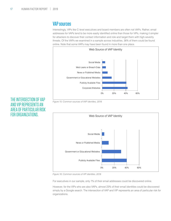## VAP sources

Interestingly, VIPs like C-level executives and board members are often not VAPs. Rather, email addresses for VAPs tend to be more easily identified online than those for VIPs, making it simpler for attackers to discover their contact information and role and target them with high-severity threats. Of the VAPs we examined in a sample across industries, 36% of them could be found online. Note that some VAPs may have been found in more than one place.



*Figure 15: Common sources of VAP identites, 2018*



*Figure 16: Common sources of VIP identites, 2018*

For executives in our sample, only 7% of their email addresses could be discovered online.

However, for the VIPs who are also VAPs, almost 23% of their email identities could be discovered simply by a Google search. The intersection of VAP and VIP represents an area of particular risk for organizations.

# THE INTERSECTION OF VAP AND VIP REPRESENTS AN AREA OF PARTICULAR RISK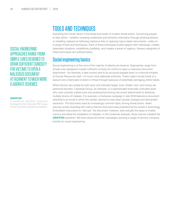SOCIAL ENGINEERING APPROACHES RANGE FROM SIMPLE LURES DESIGNED TO SPARK SUFFICIENT CURIOSITY FOR VICTIMS TO OPEN A MALICIOUS DOCUMENT ATTACHMENT TO MUCH MORE ELABORATE SCHEMES.

#### **GRIFFON**

A JavaScript backdoor frequently leveraged by the Carbanak/FIN7 group in their financially motivated campaigns.

# TOOLS AND TECHNIQUES

Exploiting the human factor is the bread and butter of modern threat actors. Convincing people to take action—whether revealing credentials and sensitive information through phishing attacks or installing malware by following malicious links or opening macro-laden documents—relies on a range of tools and techniques. Each of these techniques builds rapport with individuals, creates believable situations, establishes credibility, and creates a sense of urgency. Several categories of these techniques are outlined below.

## Social engineering basics

Social engineering is at the core of the majority of attacks we observe. Approaches range from simple lures designed to spark sufficient curiosity for victims to open a malicious document attachment—for example, a fake invoice sent to an accounts payable team or a résumé emailed to Human Resources staff—to much more elaborate schemes. These might include threat of a lawsuit over a fabricated incident or threat through exposure of potentially damaging online habits.

While themes vary widely by both actor and intended target, food, shelter, love, and money are perennial favorites. Carbanak Group, for example, is a sophisticated financially motivated actor who uses carefully crafted lures and professional-looking document attachments to distribute multiple strains of malware. For example, a Carbanak campaign in late 2018 featured a document attached to an email in which the sender claimed to have been double-charged and demanded resolution. The document used an increasingly common tactic among threat actors: stolen security vendor branding with claims that the document was protected by the vendor's technology. Embedded instructions to "decrypt" the document, however, were actually the steps to enable macros and allow the installation of malware. In the Carbanak example, these macros installed the **GRIFFON** backdoor. We have observed similar campaigns abusing a range of security company brands for social engineering.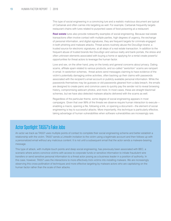This type of social engineering in a convincing lure and a realistic malicious document are typical of Carbanak and often carries into targeting as well. For example, Carbanak frequently targets restaurant chains with lures related to purported cases of food poisoning at a restaurant.

**[Real estate](https://www.proofpoint.com/us/threat-insight/post/homebuyers-routinely-phished-credentials-real-estate-related-lures)** lures also provide noteworthy examples of social engineering. Because real estate transactions often involve contact with multiple parties, high degrees of urgency, the exchange of personal information, and digital signatures, they are frequent targets for criminals engaged in both phishing and malware attacks. Threat actors routinely abuse the DocuSign brand, a trusted source for electronic signatures, at all steps of a real estate transaction. In addition to the frequent abuse of trusted brands like DocuSign and various realty and bank portals, the stress and often unknown elements associated with buying a home or applying for a rental create powerful opportunities for threat actors to leverage the human factor.

Love and sex, on the other hand, prey on the lonely and general concerns about privacy. Dating scams, affiliate spam related to various products, and so-called "sextortion" scams are rampant in email. In sextortion schemes, threat actors send messages claiming to have evidence of the victim's potentially damaging online activities, often backing up their claims with passwords associated with the recipient's email account or publicly available personal information. While the passwords themselves may be guesses or old passwords gleaned from a data breach, the emails are designed to create panic and convince users to quickly pay the sender not to reveal browsing history, compromising webcam photos, and more. In most cases, these are straight blackmail schemes, but we have also detected malware attacks delivered with the scams as well.

Regardless of the particular theme, some degree of social engineering appears in most campaigns. Given that over 99% of the threats we observe require human interaction to execute enabling a macro, opening a file, following a link, or opening a document—the element of social engineering is key to successful attacks. More importantly, this technique is particularly effective, taking advantage of human vulnerabilities when software vulnerabilities are increasingly rare.

# Actor Spotlight: TA557's Fake Jobs

An actor we track as TA557 uses multiple points of contact to complete their social engineering scheme and better establish a relationship with the victim. TA557 sends a LinkedIn invitation to the victim using a legitimate account and then follows up with a personalized email without any malicious content. It is not until a subsequent email that the actor sends a malware-bearing message.

This type of attack, with multiple touch points and deep social engineering, has previously been associated with BEC, a scenario where actors convince victims with access to corporate funds or sensitive information to initiate fraudulent wire transfers or send sensitive personal information to a threat actor posing as a business leader in a position of authority. In this case, however, TA557 uses the interactions to more effectively trick victims into installing malware. We are increasingly observing this cross-pollination of techniques and more effective targeting by malware actors who are capitalizing on the human factor rather than the scale of their attacks.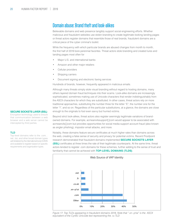## Domain abuse: Brand theft and look-alikes

Believable domains and web presence tangibly support social engineering efforts. Whether malicious and fraudulent websites use stolen branding to create legitimate-looking landing pages or threat actors register domains that resemble those of real brands, fraudulent domains are a critical piece of the cyber criminal's toolkit.

While the frequency with which particular brands are abused changes from month to month, the first half of 2019 bore perennial favorites. Threat actors stole branding and created lures and landing pages most often for

- Major U.S. and international banks
- Amazon and other major retailers
- Cellular providers
- Shipping carriers
- Document signing and electronic faxing services

Hundreds of brands, however, frequently appeared in malicious emails.

Although many threats simply stole visual branding without regard to hosting domains, many others layered domain fraud techniques into their scams. Look-alike domains are increasingly sophisticated, sometimes making use of Unicode characters that render indistinguishably from the ASCII characters for which they are substituted. In other cases, threat actors rely on more traditional approaches, substituting the number three for the letter "E", the number one for the letter "I", and so on. Regardless of the particular substitutions, at a glance, the domains are close enough to the originals to fool even savvy but hurried victims.

Beyond strict look-alikes, threat actors also register seemingly legitimate variations of brandowned domains. For example, acmeanvilssupport[.]com would appear to be associated with acmeanvils[.]com but provides opportunities for social media support account fraud (also known as angler phishing), impostor email attacks, and more.

Notably, these domains feature secure certificates at much higher rates than domains across the web, creating a false sense of security and privacy for potential victims. Recent Proofpoint research demonstrated that fraudulent domains implemented **SECURE SOCKETS LAYER (SSL)** certificates at three times the rate of their legitimate counterparts. At the same time, threat actors tended to register .com domains for these schemes, further adding to the sense of trust and familiarity that cannot be achieved with **TOP-LEVEL DOMAINS (TLDS)**.



*Figure 17: Top TLDs appearing in fraudulent domains 2018. Note that ".xn--p1ai" is the ASCII equivalent of the Cyrillic Unicode text representing the .ru TLD*

#### **SECURE SOCKETS LAYER (SSL)**

Encryption technology used to ensure that communication between a web browser and a web server cannot be intercepted by third parties.

#### **TLD**

Top-level domains refer to the .com, . net, .biz, and other broad domain types administered by the international body ICANN and available to register based on specific requirements and organization types.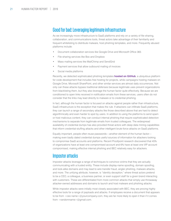# Good for bad: Leveraging legitimate infrastructure

As we increasingly move infrastructure to SaaS platforms and rely on a variety of file-sharing, collaboration, and communications tools, threat actors take advantage of their familiarity and frequent whitelisting to distribute malware, host phishing templates, and more. Frequently abused platforms include:

- Document collaboration services like Google Drive and Microsoft Office 365
- File-sharing services like Box and Dropbox
- Mass mailing services like MailChimp and SendGrid
- Payment services that allow outbound mailing of invoices
- Social media platforms

Recently, we detected sophisticated phishing templates **[hosted on GitHub](http://hosted on GitHubhttps://www.proofpoint.com/us/threat-insight/post/threat-actors-abuse-github-service-host-variety-phishing-kits)**, a ubiquitous platform for code development that includes free hosting for projects, while campaigns hosting malware on Google Drive, Microsoft SharePoint, and other similar services are almost daily occurrences. Not only can these attacks bypass traditional defenses because legitimate uses prevent organizations from blacklisting them, but they also leverage the human factor quite effectively. Because we are conditioned to open links received in notification emails from these services, users often do not consider that the links may lead directly to malware or to credential phishing.

In fact, although the human factor is focused on attacks against people rather than infrastructure, SaaS infrastructure is the exception that makes the rule. If attackers can infiltrate SaaS platforms, they can launch a range of secondary attacks like those described above that are hard to detect algorithmically and even harder to spot by users. In addition to using the platforms to send spam or host malicious content, they can conduct internal phishing that require sophisticated detection mechanisms to separate from legitimate emails from trusted colleagues. The widespread availability of credential dumps has also provided threat actors with deep data mining capabilities that inform credential-stuffing attacks and other intelligent brute-force attacks on SaaS platforms.

Equally important, people often reuse passwords—another element of the human factor making even badly dated credential dumps useful sources of information for attackers looking to compromise SaaS accounts and platforms. Recent Proofpoint research discovered that 45% of organizations have at least one compromised account and 6% have at least one VIP account compromised, making effective internal phishing and BEC relatively easy for attackers.

## Impostor attacks

Impostor attacks leverage a range of techniques to convince victims that they are actually communicating with a trusted entity. These include display-name spoofing, domain spoofing, and look-alike domains and may lead to wire transfer fraud, angler phishing, malware attacks, and more. The unifying attribute, however, is "identity deception," where threat actors pretend to be a CEO, a colleague, a business partner, or even support staff for a given brand interacting with customers. These are differentiated from more common attacks that simply use throwaway attacker-owned addresses and domains to launch and host malware and phishing attacks.

While impostor attacks were initially most closely associated with BEC, they are proving highly effective tools for a range of payloads and attacks. If employees receive a document that appears to be from <ceo name>@yourcompany.com, they are far more likely to open it than if it comes from <randomname>@gmail.com.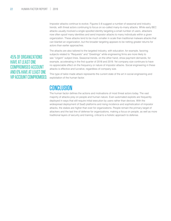Impostor attacks continue to evolve. Figures 5-8 suggest a number of seasonal and industry trends, with threat actors continuing to focus on so-called many-to-many attacks. While early BEC attacks usually involved a single spoofed identity targeting a small number of users, attackers now often spoof many identities and send impostor attacks to many individuals within a given organization. These attacks tend to be much smaller in scale than traditional malware attacks that can blanket an organization, but the broader targeting appears to be netting greater returns for actors than earlier approaches.

45% OF ORGANIZATIONS HAVE AT LEAST ONE COMPROMISED ACCOUNT AND 6% HAVE AT LEAST ONE VIP ACCOUNT COMPROMISED. The attacks are also tailored to the targeted industry, with education, for example, favoring subjects related to "Requests" and "Greetings" while engineering firms are more likely to see "Urgent" subject lines. Seasonal trends, on the other hand, show payment demands, for example, accelerating in the first quarter of 2018 and 2019. Yet company size continues to have no appreciable effect on the frequency or nature of impostor attacks. Social engineering in these attacks is effective and lucrative, regardless of company size.

This type of tailor-made attack represents the current state of the art in social engineering and exploitation of the human factor.

# CONCLUSION

The human factor defines the actions and motivations of most threat actors today. The vast majority of attacks prey on people and human nature. Even automated exploits are frequently deployed in ways that still require initial execution by users rather than devices. With the widespread deployment of SaaS platforms and rising incidence and sophistication of impostor attacks, the stakes are higher than ever for organizations. People remain the primary target of attackers and the last line of defense for organizations, making a focus on people, as well as more traditional layers of security and training, critical to a holistic approach to defense.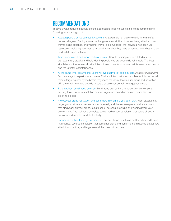# RECOMMENDATIONS

Today's threats require a people-centric approach to keeping users safe. We recommend the following as a starting point:

- Adopt a people-centered security posture. Attackers do not view the world in terms of a network diagram. Deploy a solution that gives you visibility into who's being attacked, how they're being attacked, and whether they clicked. Consider the individual risk each user represents, including how they're targeted, what data they have access to, and whether they tend to fall prey to attacks.
- Train users to spot and report malicious email. Regular training and simulated attacks can stop many attacks and help identify people who are especially vulnerable. The best simulations mimic real-world attack techniques. Look for solutions that tie into current trends and the latest threat intelligence.
- At the same time, assume that users will eventually click some threats. Attackers will always find new ways to exploit human nature. Find a solution that spots and blocks inbound email threats targeting employees before they reach the inbox. Isolate suspicious and unverified URLs in email. And stop outside threats that use your domain to target customers.
- Build a robust email fraud defense. Email fraud can be hard to detect with conventional security tools. Invest in a solution can manage email based on custom quarantine and blocking policies.
- Protect your brand reputation and customers in channels you don't own. Fight attacks that target your customers over social media, email, and the web—especially fake accounts that piggyback on your brand. Isolate users' personal browsing and webmail from your environment. And look for a complete social media security solution that scans all social networks and reports fraudulent activity.
- Partner with a threat intelligence vendor. Focused, targeted attacks call for advanced threat intelligence. Leverage a solution that combines static and dynamic techniques to detect new attack tools, tactics, and targets—and then learns from them.